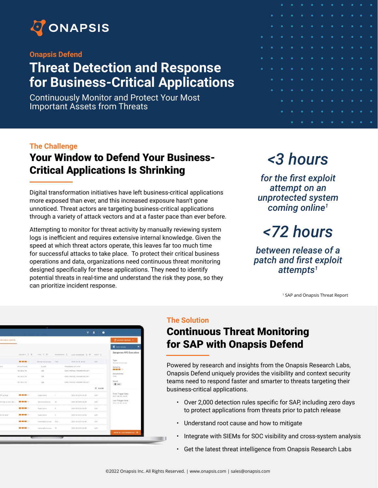

#### **Onapsis Defend**

## **Threat Detection and Response for Business-Critical Applications**

Continuously Monitor and Protect Your Most Important Assets from Threats

|           |             | $\bullet$ | $\bullet$                                                                                                                   |           |                |                                                                                                                    |                                         |                                     | $\bullet$ .<br><br>: | $\bullet$ $\bullet$                                                                                                         |                                                                                                                             |
|-----------|-------------|-----------|-----------------------------------------------------------------------------------------------------------------------------|-----------|----------------|--------------------------------------------------------------------------------------------------------------------|-----------------------------------------|-------------------------------------|----------------------|-----------------------------------------------------------------------------------------------------------------------------|-----------------------------------------------------------------------------------------------------------------------------|
|           | $\bullet$   | $\bullet$ | $\bullet$                                                                                                                   |           |                | $\begin{array}{ccccccccccccccccc} \bullet & \bullet & \bullet & \bullet & \bullet & \bullet & \bullet \end{array}$ |                                         | <b>Service Service</b>              | $\bullet$            | $\bullet$                                                                                                                   | $\bullet$<br><b>Service Service</b>                                                                                         |
|           | $\bullet$   | ٠         | $\bullet$<br>and the state of the state of the state of the state of the state of the state of the state of the state of th |           |                |                                                                                                                    |                                         |                                     | $\bullet$            | ٠                                                                                                                           | ٠                                                                                                                           |
| $\bullet$ | $\bullet$   | $\bullet$ | <b>Contract Contract</b>                                                                                                    |           |                |                                                                                                                    |                                         |                                     | $\bullet$            | $\bullet$                                                                                                                   | $\bullet$                                                                                                                   |
| $\bullet$ | $\bullet$ . |           |                                                                                                                             |           |                |                                                                                                                    |                                         |                                     | $\bullet$ $\bullet$  |                                                                                                                             | $\bullet$<br>and the state of the state of the state of the state of the state of the state of the state of the state of th |
| $\bullet$ | $\bullet$   |           |                                                                                                                             |           |                |                                                                                                                    |                                         |                                     | $\bullet$ $\bullet$  |                                                                                                                             | ٠<br>and the state of the state of the state of the state of the state of the state of the state of the state of th         |
| $\bullet$ | $\bullet$   | $\bullet$ | <b>Contract Contract</b>                                                                                                    |           |                |                                                                                                                    |                                         |                                     | $\bullet$ $\bullet$  |                                                                                                                             | $\bullet$<br>and the state of the state of the state of the state of the state of the state of the state of the state of th |
|           | $\bullet$   | $\bullet$ | <b>Contract Contract</b>                                                                                                    |           |                |                                                                                                                    |                                         |                                     | $\bullet$ .          | $\bullet$                                                                                                                   | $\bullet$<br><b>Service Service</b>                                                                                         |
|           | $\bullet$   | $\bullet$ | $\bullet$ .<br><b>Service Service</b>                                                                                       |           |                |                                                                                                                    |                                         |                                     | $\bullet$            | $\bullet$                                                                                                                   | $\bullet$<br><b>Service Service</b>                                                                                         |
|           |             | $\bullet$ | $\bullet$                                                                                                                   | $\bullet$ | $\blacksquare$ | <b>Service Service</b>                                                                                             | $\bullet \qquad \bullet \qquad \bullet$ | $\bullet$<br><b>Service Service</b> | $\bullet$            | $\bullet$<br>and the state of the state of the state of the state of the state of the state of the state of the state of th | $\bullet$                                                                                                                   |
|           |             | $\bullet$ | ٠                                                                                                                           | $\bullet$ | $\blacksquare$ | and the state of the state of the state of the state of the state of the state of the state of the state of th     | $\bullet\qquad\bullet$                  | $\bullet$<br><b>Service Service</b> | $\bullet$            | $\bullet$                                                                                                                   | $\bullet$                                                                                                                   |
|           |             |           | ٠                                                                                                                           | $\bullet$ | $\bullet$ .    |                                                                                                                    | $\bullet \qquad \bullet \qquad \bullet$ | $\bullet$                           | $\bullet$            | $\bullet$                                                                                                                   | ٠                                                                                                                           |

#### **The Challenge**

## Your Window to Defend Your Business-Critical Applications Is Shrinking

Digital transformation initiatives have left business-critical applications more exposed than ever, and this increased exposure hasn't gone unnoticed. Threat actors are targeting business-critical applications through a variety of attack vectors and at a faster pace than ever before.

Attempting to monitor for threat activity by manually reviewing system logs is inefficient and requires extensive internal knowledge. Given the speed at which threat actors operate, this leaves far too much time for successful attacks to take place. To protect their critical business operations and data, organizations need continuous threat monitoring designed specifically for these applications. They need to identify potential threats in real-time and understand the risk they pose, so they can prioritize incident response.

# *<3 hours*

*for the first exploit attempt on an unprotected system coming online<sup>1</sup>*

# *<72 hours*

*between release of a patch and first exploit attempts<sup>1</sup>*

1 SAP and Onapsis Threat Report

|                       |                | é,                         |               |                                                 |            |                                         |
|-----------------------|----------------|----------------------------|---------------|-------------------------------------------------|------------|-----------------------------------------|
|                       |                |                            |               |                                                 | ۰          |                                         |
| <b>MITABLE EVENTS</b> |                |                            |               |                                                 |            | <b>Survey server</b>                    |
|                       |                |                            |               |                                                 |            | <b>E</b> bestbean<br>×                  |
|                       | sections 2 W.  |                            |               | THE 2 W - HOMESON 2 LAST ROOMENEE 2 W - ANALY 2 |            | Dangerous RFC Execution                 |
|                       |                | <b>General but America</b> | rras:         | 2020-30-08, 90-00                               | <b>SAA</b> | Type:<br>Symptom Access                 |
| Uit                   | <i>UNIONER</i> | nuover                     |               | TROUGHES ASTWITE                                |            | Sanarity                                |
|                       | 102,588,27.70  | 1006                       |               | DOWNWOODLAWARETER.OET                           |            | <b>BOTH 1999</b> 1999<br>Department     |
|                       | 02.100.13.35   | 08                         |               | SATE_PROTEE_PARAPETER_DET                       |            | 1740                                    |
|                       | 812168 21.74   | 1004                       |               | SIPE-PROTEE, PURSPETER, OCT.                    |            | Avent<br>E no.                          |
|                       |                |                            |               |                                                 | X suom     |                                         |
| E croup               | ---            | Exploitation               | ٠             | BEEL-05-25 N-SA-50                              | 1.4.6      | First Trigger Date<br>2021-08-01, 15:02 |
|                       |                | Sensitive Rooses           | 22            | 2011-00-25 14:54:35                             | 1.4.5      | Law: Tripger Salar<br>2021-95-98, 16:00 |
|                       | ---            | Exploitantes               | $\alpha$      | 2011-02-19 51-56.35                             | LAN        |                                         |
| # 15 SIRT             | ■■第二           | Dato tatos                 | $\mathcal{S}$ | 2011-03-29 94:54:59                             | UAN        |                                         |
|                       | ---            | watership alternative      | $-2014$       | 2021-05-25 14:54:30                             | <b>LAS</b> |                                         |
|                       | ---            | Valencable Assess 173      |               | 2011-02-25 N-St 10                              | 13.5       |                                         |
|                       |                |                            |               |                                                 |            | <b>WER ALL OCCURRENCES</b> (19)         |
|                       |                |                            |               |                                                 |            |                                         |

#### **The Solution**

## Continuous Threat Monitoring for SAP with Onapsis Defend

Powered by research and insights from the Onapsis Research Labs, Onapsis Defend uniquely provides the visibility and context security teams need to respond faster and smarter to threats targeting their business-critical applications.

- Over 2,000 detection rules specific for SAP, including zero days to protect applications from threats prior to patch release
- Understand root cause and how to mitigate
- Integrate with SIEMs for SOC visibility and cross-system analysis
- Get the latest threat intelligence from Onapsis Research Labs